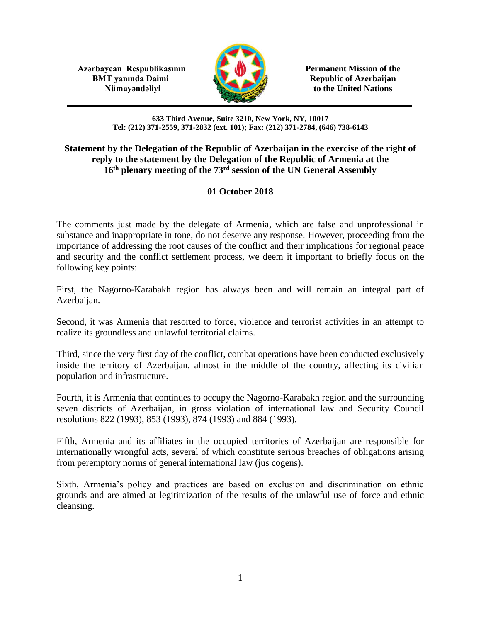**Azərbaycan Respublikasının Permanent Mission of the BMT yanında Daimi Republic of Azerbaijan** 



**Nümayəndəliyi** to the United Nations

## **633 Third Avenue, Suite 3210, New York, NY, 10017 Tel: (212) 371-2559, 371-2832 (ext. 101); Fax: (212) 371-2784, (646) 738-6143**

## **Statement by the Delegation of the Republic of Azerbaijan in the exercise of the right of reply to the statement by the Delegation of the Republic of Armenia at the 16th plenary meeting of the 73rd session of the UN General Assembly**

## **01 October 2018**

The comments just made by the delegate of Armenia, which are false and unprofessional in substance and inappropriate in tone, do not deserve any response. However, proceeding from the importance of addressing the root causes of the conflict and their implications for regional peace and security and the conflict settlement process, we deem it important to briefly focus on the following key points:

First, the Nagorno-Karabakh region has always been and will remain an integral part of Azerbaijan.

Second, it was Armenia that resorted to force, violence and terrorist activities in an attempt to realize its groundless and unlawful territorial claims.

Third, since the very first day of the conflict, combat operations have been conducted exclusively inside the territory of Azerbaijan, almost in the middle of the country, affecting its civilian population and infrastructure.

Fourth, it is Armenia that continues to occupy the Nagorno-Karabakh region and the surrounding seven districts of Azerbaijan, in gross violation of international law and Security Council resolutions 822 (1993), 853 (1993), 874 (1993) and 884 (1993).

Fifth, Armenia and its affiliates in the occupied territories of Azerbaijan are responsible for internationally wrongful acts, several of which constitute serious breaches of obligations arising from peremptory norms of general international law (jus cogens).

Sixth, Armenia's policy and practices are based on exclusion and discrimination on ethnic grounds and are aimed at legitimization of the results of the unlawful use of force and ethnic cleansing.